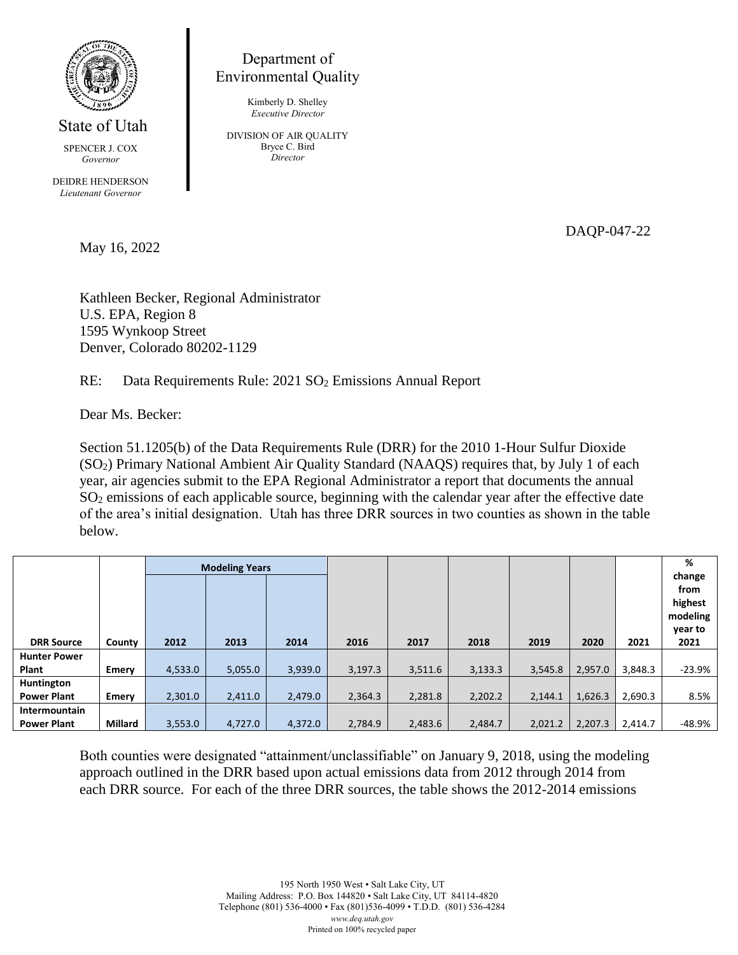

State of Utah

SPENCER J. COX *Governor*

DEIDRE HENDERSON *Lieutenant Governor*

May 16, 2022

Department of Environmental Quality

> Kimberly D. Shelley *Executive Director*

DIVISION OF AIR QUALITY Bryce C. Bird *Director*

DAQP-047-22

Kathleen Becker, Regional Administrator U.S. EPA, Region 8 1595 Wynkoop Street Denver, Colorado 80202-1129

RE: Data Requirements Rule: 2021 SO<sub>2</sub> Emissions Annual Report

Dear Ms. Becker:

Section 51.1205(b) of the Data Requirements Rule (DRR) for the 2010 1-Hour Sulfur Dioxide (SO2) Primary National Ambient Air Quality Standard (NAAQS) requires that, by July 1 of each year, air agencies submit to the EPA Regional Administrator a report that documents the annual SO<sup>2</sup> emissions of each applicable source, beginning with the calendar year after the effective date of the area's initial designation. Utah has three DRR sources in two counties as shown in the table below.

|                     |         |         | <b>Modeling Years</b> |         |         |         |         |         |         |         | %<br>change<br>from<br>highest<br>modeling<br>year to |
|---------------------|---------|---------|-----------------------|---------|---------|---------|---------|---------|---------|---------|-------------------------------------------------------|
| <b>DRR Source</b>   | County  | 2012    | 2013                  | 2014    | 2016    | 2017    | 2018    | 2019    | 2020    | 2021    | 2021                                                  |
| <b>Hunter Power</b> |         |         |                       |         |         |         |         |         |         |         |                                                       |
| Plant               | Emery   | 4,533.0 | 5,055.0               | 3,939.0 | 3,197.3 | 3,511.6 | 3,133.3 | 3,545.8 | 2,957.0 | 3,848.3 | -23.9%                                                |
| Huntington          |         |         |                       |         |         |         |         |         |         |         |                                                       |
| <b>Power Plant</b>  | Emery   | 2,301.0 | 2,411.0               | 2,479.0 | 2,364.3 | 2,281.8 | 2,202.2 | 2,144.1 | 1,626.3 | 2,690.3 | 8.5%                                                  |
| Intermountain       |         |         |                       |         |         |         |         |         |         |         |                                                       |
| <b>Power Plant</b>  | Millard | 3,553.0 | 4,727.0               | 4,372.0 | 2,784.9 | 2,483.6 | 2,484.7 | 2.021.2 | 2,207.3 | 2.414.7 | -48.9%                                                |

Both counties were designated "attainment/unclassifiable" on January 9, 2018, using the modeling approach outlined in the DRR based upon actual emissions data from 2012 through 2014 from each DRR source. For each of the three DRR sources, the table shows the 2012-2014 emissions